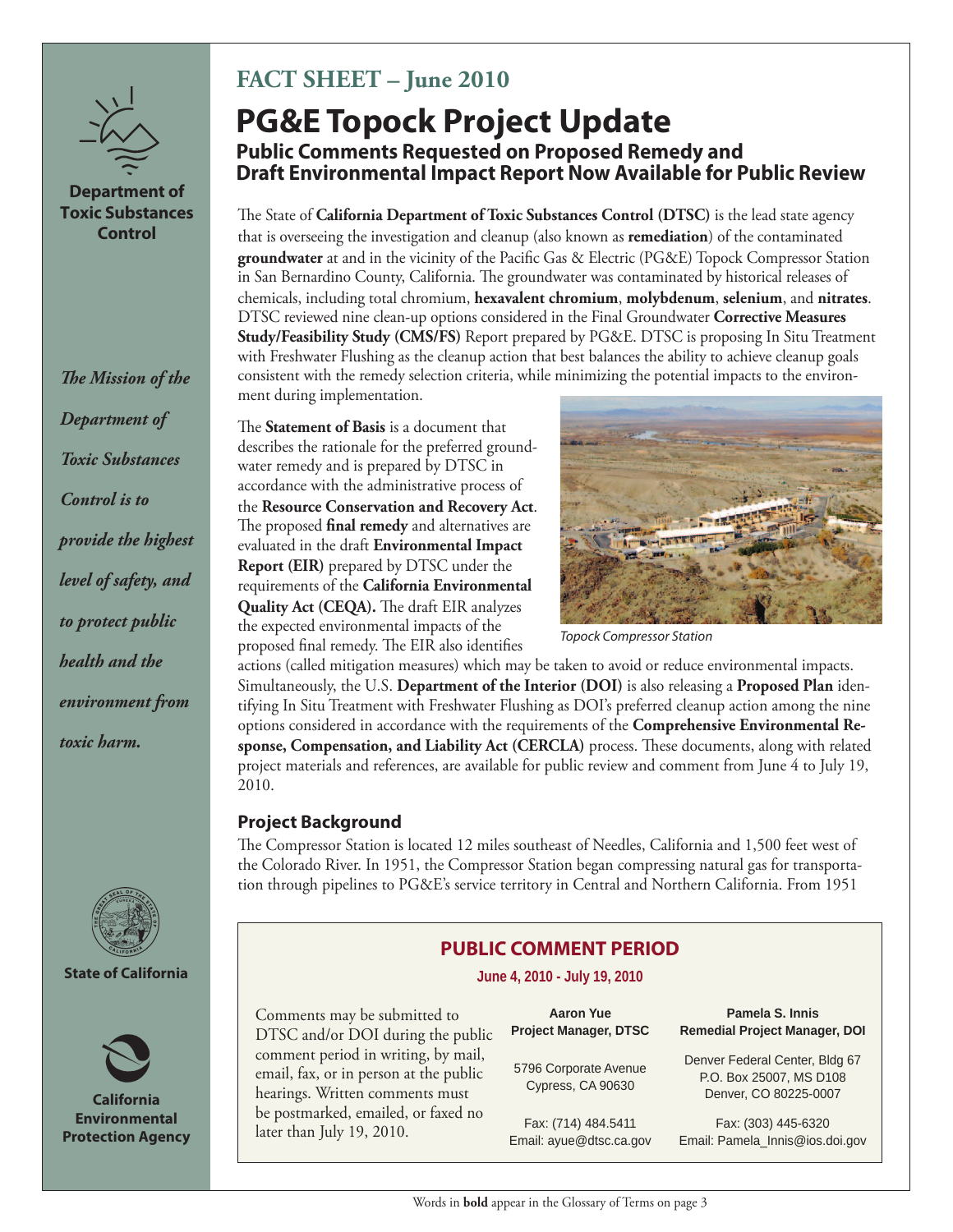

## **Department of Toxic Substances Control**

**The Mission of the** *Department of Toxic Substances Control is to provide the highest level of safety, and to protect public health and the environment from toxic harm.*



#### **State of California**



**California Environmental Protection Agency**

# **FACT SHEET – June 2010**

# **PG&E Topock Project Update Public Comments Requested on Proposed Remedy and Draft Environmental Impact Report Now Available for Public Review**

The State of **California Department of Toxic Substances Control (DTSC)** is the lead state agency that is overseeing the investigation and cleanup (also known as **remediation**) of the contaminated **groundwater** at and in the vicinity of the Pacific Gas & Electric (PG&E) Topock Compressor Station in San Bernardino County, California. The groundwater was contaminated by historical releases of chemicals, including total chromium, **hexavalent chromium**, **molybdenum**, **selenium**, and **nitrates**. DTSC reviewed nine clean-up options considered in the Final Groundwater **Corrective Measures Study/Feasibility Study (CMS/FS)** Report prepared by PG&E. DTSC is proposing In Situ Treatment with Freshwater Flushing as the cleanup action that best balances the ability to achieve cleanup goals consistent with the remedy selection criteria, while minimizing the potential impacts to the environment during implementation.

The **Statement of Basis** is a document that describes the rationale for the preferred groundwater remedy and is prepared by DTSC in accordance with the administrative process of the **Resource Conservation and Recovery Act**. The proposed **final remedy** and alternatives are evaluated in the draft **Environmental Impact Report (EIR)** prepared by DTSC under the requirements of the **California Environmental Quality Act (CEQA).** The draft EIR analyzes the expected environmental impacts of the proposed final remedy. The EIR also identifies



*Topock Compressor Station*

actions (called mitigation measures) which may be taken to avoid or reduce environmental impacts. Simultaneously, the U.S. **Department of the Interior (DOI)** is also releasing a **Proposed Plan** identifying In Situ Treatment with Freshwater Flushing as DOI's preferred cleanup action among the nine options considered in accordance with the requirements of the **Comprehensive Environmental Re**sponse, Compensation, and Liability Act (CERCLA) process. These documents, along with related project materials and references, are available for public review and comment from June 4 to July 19, 2010.

# **Project Background**

The Compressor Station is located 12 miles southeast of Needles, California and 1,500 feet west of the Colorado River. In 1951, the Compressor Station began compressing natural gas for transportation through pipelines to PG&E's service territory in Central and Northern California. From 1951

# **PUBLIC COMMENT PERIOD**

**June 4, 2010 - July 19, 2010**

Comments may be submitted to DTSC and/or DOI during the public comment period in writing, by mail, email, fax, or in person at the public hearings. Written comments must be postmarked, emailed, or faxed no later than July 19, 2010.

| <b>Aaron Yue</b>             |  |
|------------------------------|--|
| <b>Project Manager, DTSC</b> |  |
|                              |  |

5796 Corporate Avenue Cypress, CA 90630

Fax: (714) 484.5411 Email: ayue@dtsc.ca.gov

**Pamela S. Innis Remedial Project Manager, DOI**

Denver Federal Center, Bldg 67 P.O. Box 25007, MS D108 Denver, CO 80225-0007

Fax: (303) 445-6320 Email: Pamela\_Innis@ios.doi.gov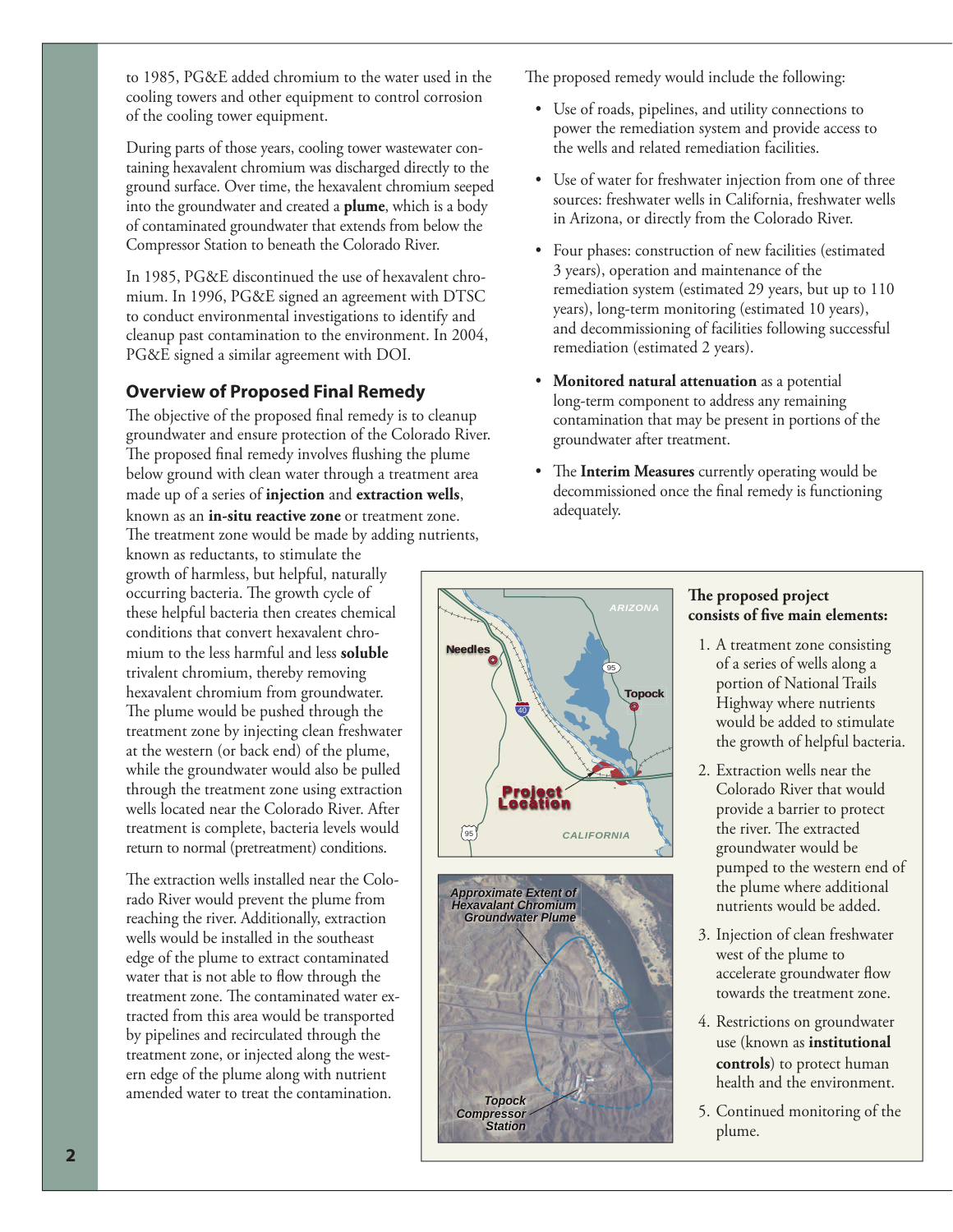to 1985, PG&E added chromium to the water used in the cooling towers and other equipment to control corrosion of the cooling tower equipment.

During parts of those years, cooling tower wastewater containing hexavalent chromium was discharged directly to the ground surface. Over time, the hexavalent chromium seeped into the groundwater and created a **plume**, which is a body of contaminated groundwater that extends from below the Compressor Station to beneath the Colorado River.

In 1985, PG&E discontinued the use of hexavalent chromium. In 1996, PG&E signed an agreement with DTSC to conduct environmental investigations to identify and cleanup past contamination to the environment. In 2004, PG&E signed a similar agreement with DOI.

# **Overview of Proposed Final Remedy**

The objective of the proposed final remedy is to cleanup groundwater and ensure protection of the Colorado River. The proposed final remedy involves flushing the plume below ground with clean water through a treatment area made up of a series of **injection** and **extraction wells**, known as an **in-situ reactive zone** or treatment zone.

The treatment zone would be made by adding nutrients, known as reductants, to stimulate the growth of harmless, but helpful, naturally occurring bacteria. The growth cycle of these helpful bacteria then creates chemical conditions that convert hexavalent chromium to the less harmful and less **soluble** trivalent chromium, thereby removing hexavalent chromium from groundwater. The plume would be pushed through the treatment zone by injecting clean freshwater at the western (or back end) of the plume, while the groundwater would also be pulled through the treatment zone using extraction wells located near the Colorado River. After treatment is complete, bacteria levels would return to normal (pretreatment) conditions.

The extraction wells installed near the Colorado River would prevent the plume from reaching the river. Additionally, extraction wells would be installed in the southeast edge of the plume to extract contaminated water that is not able to flow through the treatment zone. The contaminated water extracted from this area would be transported by pipelines and recirculated through the treatment zone, or injected along the western edge of the plume along with nutrient amended water to treat the contamination.

The proposed remedy would include the following:

- Use of roads, pipelines, and utility connections to power the remediation system and provide access to the wells and related remediation facilities.
- Use of water for freshwater injection from one of three sources: freshwater wells in California, freshwater wells in Arizona, or directly from the Colorado River.
- Four phases: construction of new facilities (estimated 3 years), operation and maintenance of the remediation system (estimated 29 years, but up to 110 years), long-term monitoring (estimated 10 years), and decommissioning of facilities following successful remediation (estimated 2 years).
- **Monitored natural attenuation** as a potential long-term component to address any remaining contamination that may be present in portions of the groundwater after treatment.
- The **Interim Measures** currently operating would be decommissioned once the final remedy is functioning adequately.





## The proposed project consists of five main elements:

- 1. A treatment zone consisting of a series of wells along a portion of National Trails Highway where nutrients would be added to stimulate the growth of helpful bacteria.
- 2. Extraction wells near the Colorado River that would provide a barrier to protect the river. The extracted groundwater would be pumped to the western end of the plume where additional nutrients would be added.
- 3. Injection of clean freshwater west of the plume to accelerate groundwater flow towards the treatment zone.
- 4. Restrictions on groundwater use (known as **institutional controls**) to protect human health and the environment.
- 5. Continued monitoring of the plume.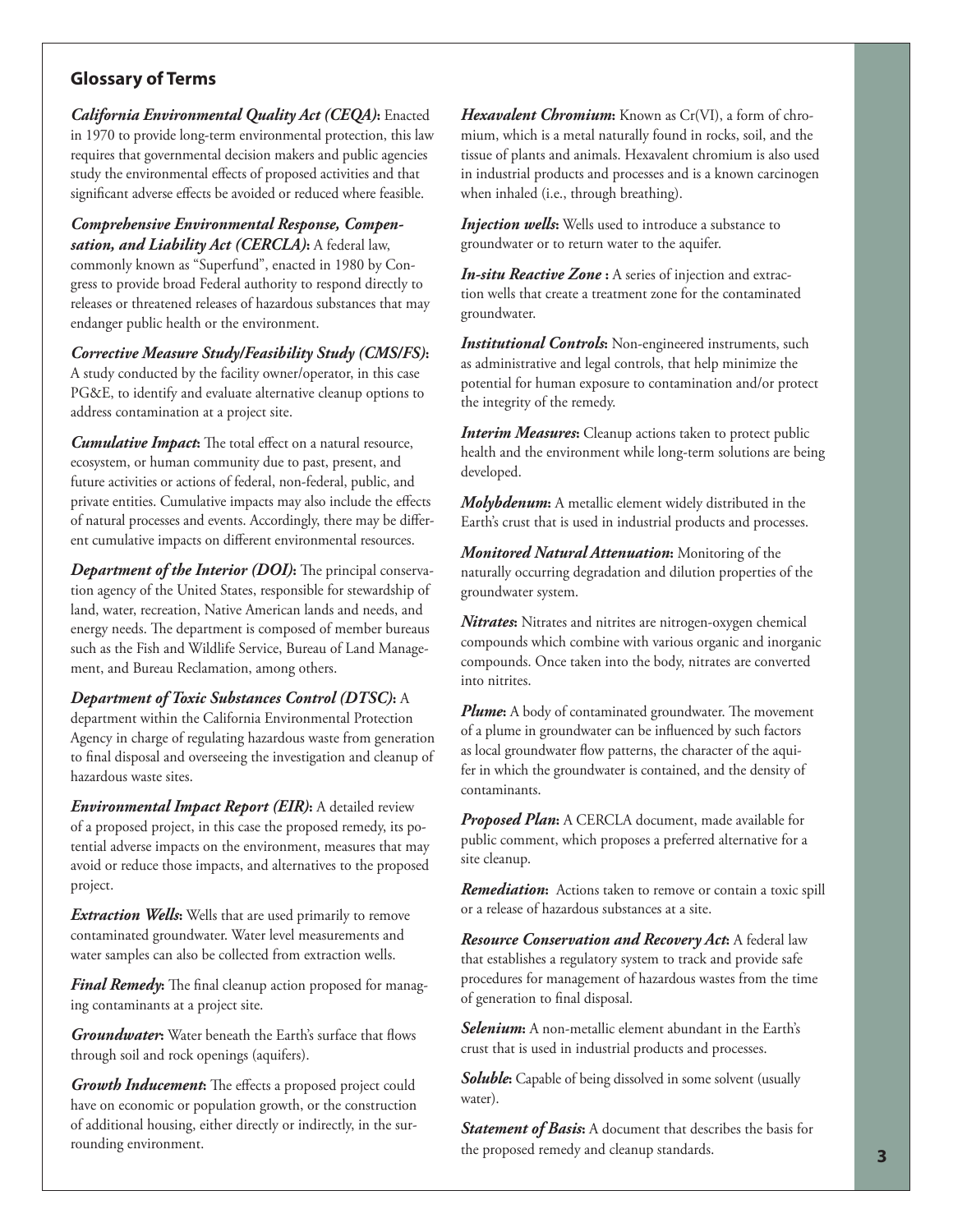## **Glossary of Terms**

*California Environmental Quality Act (CEQA)***:** Enacted in 1970 to provide long-term environmental protection, this law requires that governmental decision makers and public agencies study the environmental effects of proposed activities and that significant adverse effects be avoided or reduced where feasible.

*Comprehensive Environmental Response, Compensation, and Liability Act (CERCLA)***:** A federal law, commonly known as "Superfund", enacted in 1980 by Congress to provide broad Federal authority to respond directly to releases or threatened releases of hazardous substances that may endanger public health or the environment.

*Corrective Measure Study/Feasibility Study (CMS/FS)***:** A study conducted by the facility owner/operator, in this case PG&E, to identify and evaluate alternative cleanup options to address contamination at a project site.

**Cumulative Impact:** The total effect on a natural resource, ecosystem, or human community due to past, present, and future activities or actions of federal, non-federal, public, and private entities. Cumulative impacts may also include the effects of natural processes and events. Accordingly, there may be different cumulative impacts on different environmental resources.

*Department of the Interior (DOI)***:** The principal conservation agency of the United States, responsible for stewardship of land, water, recreation, Native American lands and needs, and energy needs. The department is composed of member bureaus such as the Fish and Wildlife Service, Bureau of Land Management, and Bureau Reclamation, among others.

*Department of Toxic Substances Control (DTSC)***:** A department within the California Environmental Protection Agency in charge of regulating hazardous waste from generation to final disposal and overseeing the investigation and cleanup of hazardous waste sites.

*Environmental Impact Report (EIR)***:** A detailed review of a proposed project, in this case the proposed remedy, its potential adverse impacts on the environment, measures that may avoid or reduce those impacts, and alternatives to the proposed project.

*Extraction Wells***:** Wells that are used primarily to remove contaminated groundwater. Water level measurements and water samples can also be collected from extraction wells.

*Final Remedy*: The final cleanup action proposed for managing contaminants at a project site.

*Groundwater*: Water beneath the Earth's surface that flows through soil and rock openings (aquifers).

*Growth Inducement*: The effects a proposed project could have on economic or population growth, or the construction of additional housing, either directly or indirectly, in the sur*Hexavalent Chromium***:** Known as Cr(VI), a form of chromium, which is a metal naturally found in rocks, soil, and the tissue of plants and animals. Hexavalent chromium is also used in industrial products and processes and is a known carcinogen when inhaled (i.e., through breathing).

*Injection wells*: Wells used to introduce a substance to groundwater or to return water to the aquifer.

*In-situ Reactive Zone* **:** A series of injection and extraction wells that create a treatment zone for the contaminated groundwater.

*Institutional Controls***:** Non-engineered instruments, such as administrative and legal controls, that help minimize the potential for human exposure to contamination and/or protect the integrity of the remedy.

*Interim Measures***:** Cleanup actions taken to protect public health and the environment while long-term solutions are being developed.

*Molybdenum***:** A metallic element widely distributed in the Earth's crust that is used in industrial products and processes.

*Monitored Natural Attenuation***:** Monitoring of the naturally occurring degradation and dilution properties of the groundwater system.

*Nitrates***:** Nitrates and nitrites are nitrogen-oxygen chemical compounds which combine with various organic and inorganic compounds. Once taken into the body, nitrates are converted into nitrites.

**Plume:** A body of contaminated groundwater. The movement of a plume in groundwater can be influenced by such factors as local groundwater flow patterns, the character of the aquifer in which the groundwater is contained, and the density of contaminants.

*Proposed Plan***:** A CERCLA document, made available for public comment, which proposes a preferred alternative for a site cleanup.

*Remediation***:** Actions taken to remove or contain a toxic spill or a release of hazardous substances at a site.

*Resource Conservation and Recovery Act***:** A federal law that establishes a regulatory system to track and provide safe procedures for management of hazardous wastes from the time of generation to final disposal.

*Selenium***:** A non-metallic element abundant in the Earth's crust that is used in industrial products and processes.

*Soluble***:** Capable of being dissolved in some solvent (usually water).

*Statement of Basis***:** A document that describes the basis for the proposed remedy and cleanup standards. rounding environment. **<sup>3</sup>**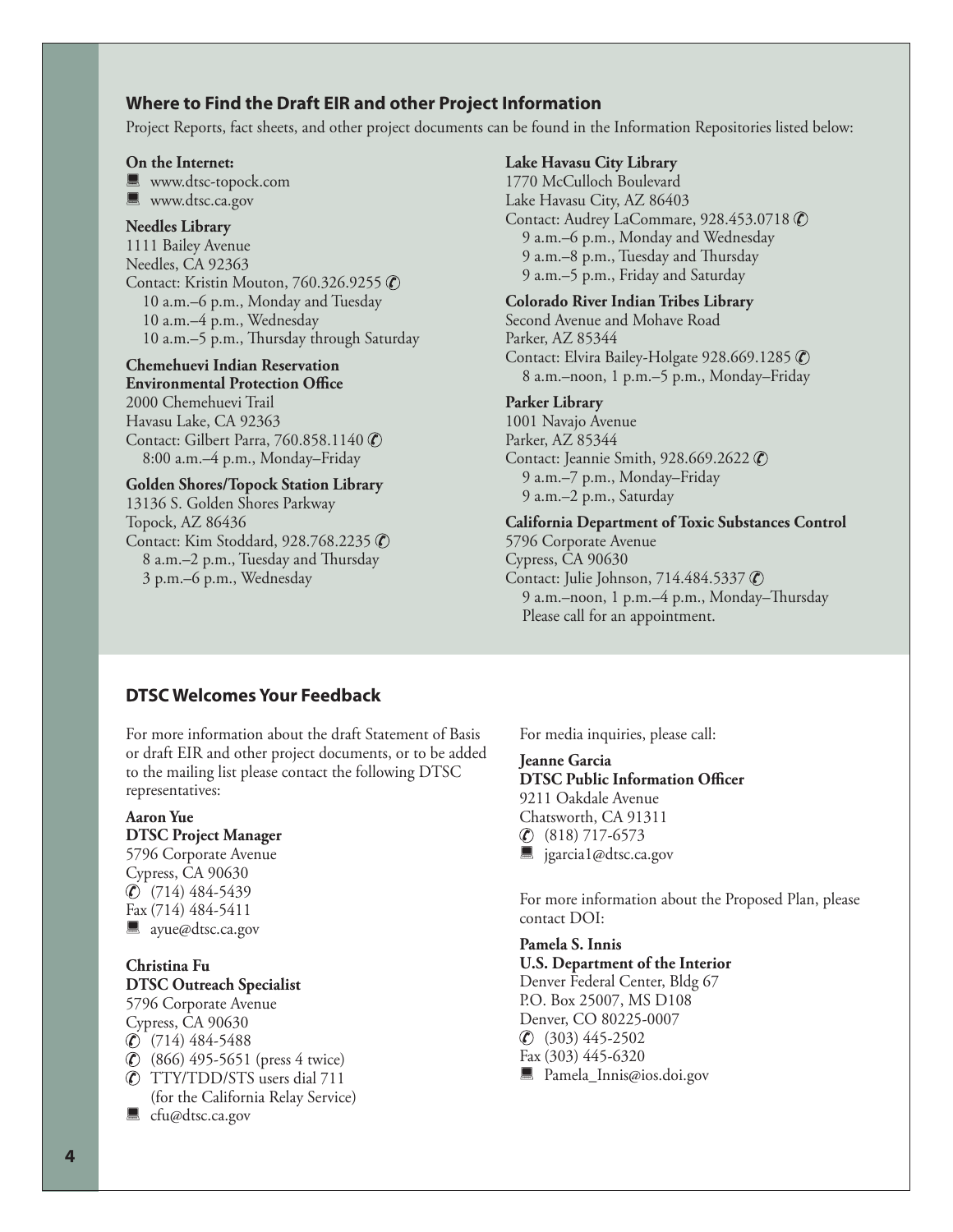## **Where to Find the Draft EIR and other Project Information**

Project Reports, fact sheets, and other project documents can be found in the Information Repositories listed below:

#### **On the Internet:**

**WWW.dtsc-topock.com** 

**WWW.dtsc.ca.gov** 

#### **Needles Library**

1111 Bailey Avenue Needles, CA 92363 Contact: Kristin Mouton, 760.326.9255 ( 10 a.m.–6 p.m., Monday and Tuesday 10 a.m.–4 p.m., Wednesday 10 a.m.–5 p.m., Thursday through Saturday

#### **Chemehuevi Indian Reservation**

**Environmental Protection Office** 2000 Chemehuevi Trail Havasu Lake, CA 92363 Contact: Gilbert Parra, 760.858.1140 © 8:00 a.m.–4 p.m., Monday–Friday

#### **Golden Shores/Topock Station Library**

13136 S. Golden Shores Parkway Topock, AZ 86436 Contact: Kim Stoddard, 928.768.2235 (C) 8 a.m.–2 p.m., Tuesday and Thursday 3 p.m.–6 p.m., Wednesday

#### **Lake Havasu City Library**

1770 McCulloch Boulevard Lake Havasu City, AZ 86403 Contact: Audrey LaCommare, 928.453.0718 © 9 a.m.–6 p.m., Monday and Wednesday 9 a.m.–8 p.m., Tuesday and Thursday 9 a.m.–5 p.m., Friday and Saturday

### **Colorado River Indian Tribes Library**

Second Avenue and Mohave Road Parker, AZ 85344 Contact: Elvira Bailey-Holgate 928.669.1285 © 8 a.m.–noon, 1 p.m.–5 p.m., Monday–Friday

#### **Parker Library**

1001 Navajo Avenue Parker, AZ 85344 Contact: Jeannie Smith, 928.669.2622 © 9 a.m.–7 p.m., Monday–Friday 9 a.m.–2 p.m., Saturday

#### **California Department of Toxic Substances Control**

5796 Corporate Avenue Cypress, CA 90630 Contact: Julie Johnson, 714.484.5337 © 9 a.m.–noon, 1 p.m.–4 p.m., Monday–Thursday Please call for an appointment.

## **DTSC Welcomes Your Feedback**

For more information about the draft Statement of Basis or draft EIR and other project documents, or to be added to the mailing list please contact the following DTSC representatives:

### **Aaron Yue**

## **DTSC Project Manager**

5796 Corporate Avenue Cypress, CA 90630 (714) 484-5439 Fax (714) 484-5411 sayue@dtsc.ca.gov

#### **Christina Fu DTSC Outreach Specialist**

5796 Corporate Avenue Cypress, CA 90630  $\circ$  (714) 484-5488 (866) 495-5651 (press 4 twice) TTY/TDD/STS users dial 711 (for the California Relay Service)

■ cfu@dtsc.ca.gov

For media inquiries, please call:

## **Jeanne Garcia**

**DTSC Public Information Officer** 9211 Oakdale Avenue Chatsworth, CA 91311  $\circ$  (818) 717-6573 ■ jgarcia1@dtsc.ca.gov

For more information about the Proposed Plan, please contact DOI:

#### **Pamela S. Innis U.S. Department of the Interior** Denver Federal Center, Bldg 67 P.O. Box 25007, MS D108 Denver, CO 80225-0007 (303) 445-2502 Fax (303) 445-6320 **Pamela\_Innis@ios.doi.gov**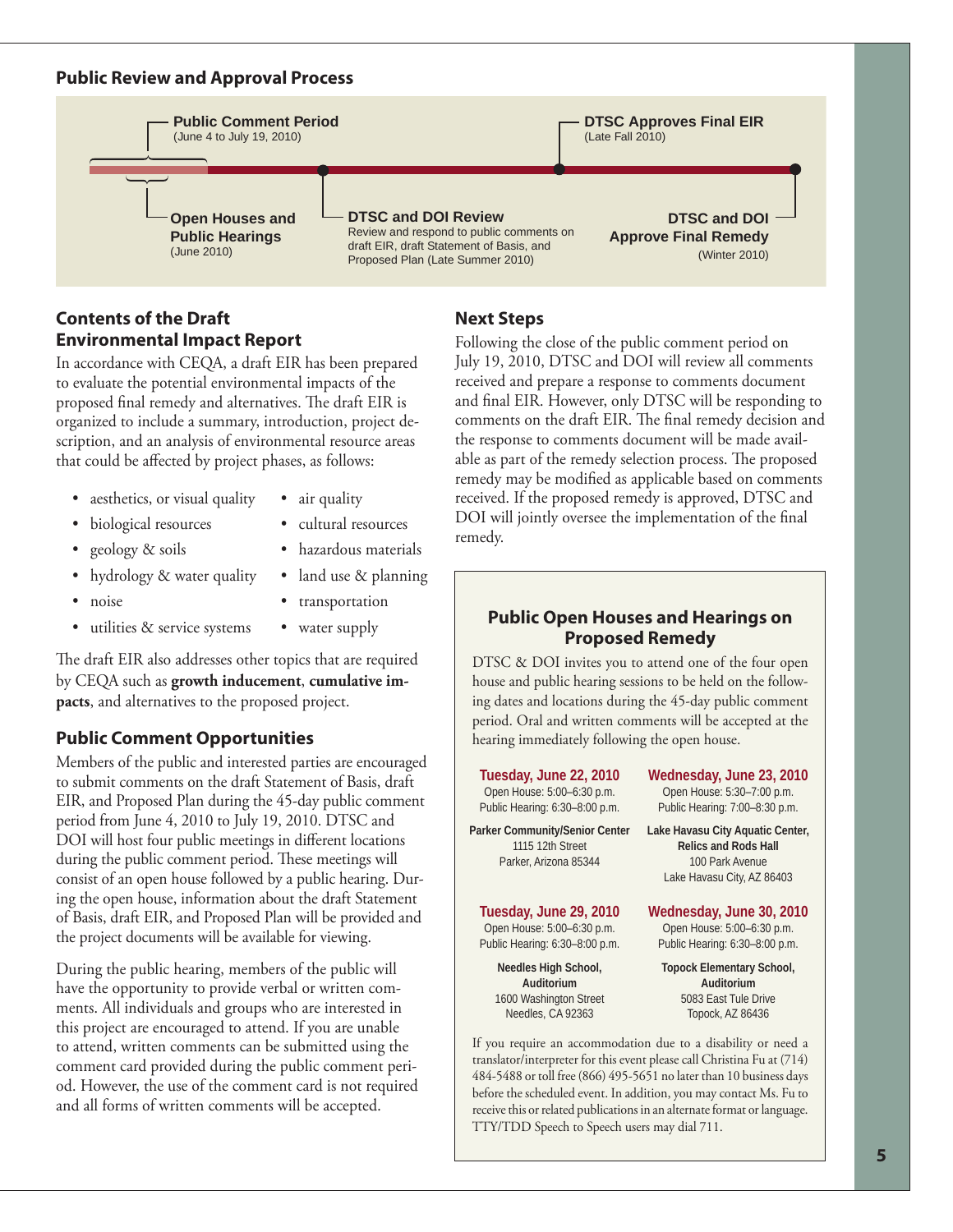## **Public Review and Approval Process**



# **Contents of the Draft Environmental Impact Report**

In accordance with CEQA, a draft EIR has been prepared to evaluate the potential environmental impacts of the proposed final remedy and alternatives. The draft EIR is organized to include a summary, introduction, project description, and an analysis of environmental resource areas that could be affected by project phases, as follows:

- aesthetics, or visual quality air quality
- 
- biological resources cultural resources
	-
- 
- geology & soils hazardous materials
- hydrology & water quality land use & planning
- noise transportation
- utilities & service systems water supply

The draft EIR also addresses other topics that are required by CEQA such as **growth inducement**, **cumulative impacts**, and alternatives to the proposed project.

## **Public Comment Opportunities**

Members of the public and interested parties are encouraged to submit comments on the draft Statement of Basis, draft EIR, and Proposed Plan during the 45-day public comment period from June 4, 2010 to July 19, 2010. DTSC and DOI will host four public meetings in different locations during the public comment period. These meetings will consist of an open house followed by a public hearing. During the open house, information about the draft Statement of Basis, draft EIR, and Proposed Plan will be provided and the project documents will be available for viewing.

During the public hearing, members of the public will have the opportunity to provide verbal or written comments. All individuals and groups who are interested in this project are encouraged to attend. If you are unable to attend, written comments can be submitted using the comment card provided during the public comment period. However, the use of the comment card is not required and all forms of written comments will be accepted.

# **Next Steps**

Following the close of the public comment period on July 19, 2010, DTSC and DOI will review all comments received and prepare a response to comments document and final EIR. However, only DTSC will be responding to comments on the draft EIR. The final remedy decision and the response to comments document will be made available as part of the remedy selection process. The proposed remedy may be modified as applicable based on comments received. If the proposed remedy is approved, DTSC and DOI will jointly oversee the implementation of the final remedy.

## **Public Open Houses and Hearings on Proposed Remedy**

DTSC & DOI invites you to attend one of the four open house and public hearing sessions to be held on the following dates and locations during the 45-day public comment period. Oral and written comments will be accepted at the hearing immediately following the open house.

**Tuesday, June 22, 2010** Open House: 5:00–6:30 p.m. Public Hearing: 6:30–8:00 p.m.

**Parker Community/Senior Center**  1115 12th Street Parker, Arizona 85344

### **Tuesday, June 29, 2010**

Open House: 5:00–6:30 p.m. Public Hearing: 6:30–8:00 p.m.

**Needles High School, Auditorium** 1600 Washington Street Needles, CA 92363

**Wednesday, June 23, 2010** Open House: 5:30–7:00 p.m. Public Hearing: 7:00–8:30 p.m.

**Lake Havasu City Aquatic Center, Relics and Rods Hall** 100 Park Avenue Lake Havasu City, AZ 86403

**Wednesday, June 30, 2010**

Open House: 5:00–6:30 p.m. Public Hearing: 6:30–8:00 p.m.

**Topock Elementary School, Auditorium** 5083 East Tule Drive Topock, AZ 86436

If you require an accommodation due to a disability or need a translator/interpreter for this event please call Christina Fu at (714) 484-5488 or toll free (866) 495-5651 no later than 10 business days before the scheduled event. In addition, you may contact Ms. Fu to receive this or related publications in an alternate format or language. TTY/TDD Speech to Speech users may dial 711.